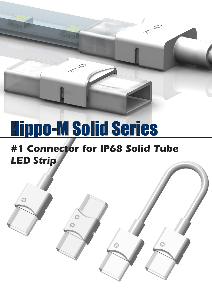# Hippo-M Solid Series

 $\circ$ 

 $\circ$ 

 $\mathcal{O}$ 

### **#1 Connector for IP68 Solid Tube LED Strip**

 $\odot$ 

 $\circ$ 

*LED Strip Connector* Hippo-M Solid www.onlumi.com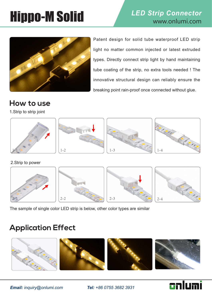## **Hippo-M Solid LED Strip Connector**



Patent design for solid tube waterproof LED strip light no matter common injected or latest extruded types. Directly connect strip light by hand maintaining tube coating of the strip, no extra tools needed ! The innovative structural design can reliably ensure the breaking point rain-proof once connected without glue.

#### **How to use**

1.Strip to strip joint









2.Strip to power



The sample of single color LED strip is below, other color types are similar

### **Application Effect**



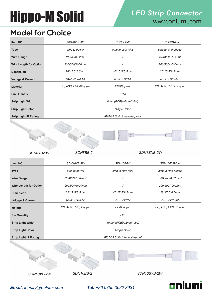## **Hippo-M Solid LED Strip Connector**

#### **Model for Choice**

*SDN8XB-2W*

| Item NO.                      | SDN8XB-2W                    | SDN8BB-2             | SDN8BXB-2W                |  |
|-------------------------------|------------------------------|----------------------|---------------------------|--|
| <b>Type</b>                   | strip to power               | strip to strip joint | strip to strip bridge     |  |
| <b>Wire Gauge</b>             | 20AWG/0.52mm <sup>2</sup>    | $\prime$             | 20AWG/0.52mm <sup>2</sup> |  |
| <b>Wire Length for Option</b> | 200/500/1000mm               |                      | 200/500/1000mm            |  |
| <b>Dimension</b>              | 28*15.5*8.5mm                | $40*15.5*8.5mm$      | 28*15.5*8.5mm             |  |
| <b>Voltage &amp; Current</b>  | DC3~24V/3.5A                 | DC3~24V/5A           | DC3~24V/3.5A              |  |
| <b>Material</b>               | PC, ABS, PVC&Copper          | PC&Copper            | PC, ABS, PVC&Copper       |  |
| <b>Pin Quantity</b>           |                              | 2 Pin                |                           |  |
| <b>Strip Light Width</b>      | 8 mm(PCB)/10mm(tube)         |                      |                           |  |
| <b>Strip Light Color</b>      | Single Color                 |                      |                           |  |
| <b>Strip Light IP Rating</b>  | IP67/68 Solid tubewaterproof |                      |                           |  |



*SDN8BXB-2W*

cnlumi

| Item NO.                      | SDN10XB-2W                    | SDN10BB-2            | SDN10BXB-2W               |  |  |
|-------------------------------|-------------------------------|----------------------|---------------------------|--|--|
| <b>Type</b>                   | strip to power                | strip to strip joint | strip to strip bridge     |  |  |
| <b>Wire Gauge</b>             | 20AWG/0.52mm <sup>2</sup>     |                      | 20AWG/0.52mm <sup>2</sup> |  |  |
| <b>Wire Length for Option</b> | 200/500/1000mm                |                      | 200/500/1000mm            |  |  |
| <b>Dimension</b>              | 28*17.5*8.5mm                 | 40*17.5*8.5mm        | 28*17.5*8.5mm             |  |  |
| <b>Voltage &amp; Current</b>  | DC3~24V/3.5A                  | DC3~24V/5A           | DC3~24V/3.5A              |  |  |
| <b>Material</b>               | PC, ABS, PVC, Copper          | PC&Copper            | PC, ABS, PVC, Copper      |  |  |
| <b>Pin Quantity</b>           |                               | 2 Pin                |                           |  |  |
| <b>Strip Light Width</b>      | 10 mm(PCB)/12mm(tube)         |                      |                           |  |  |
| <b>Strip Light Color</b>      | Single Color                  |                      |                           |  |  |
| <b>Strip Light IP Rating</b>  | IP67/68 Solid tube waterproof |                      |                           |  |  |
|                               |                               |                      |                           |  |  |
|                               |                               |                      |                           |  |  |
|                               |                               |                      |                           |  |  |
| SDN10XB-2W                    | SDN10BB-2                     |                      | SDN10BXB-2W               |  |  |

*SDN8BB-2*

*Email: inquiry@onlumi.com Tel: +86 0755 3682 3931*